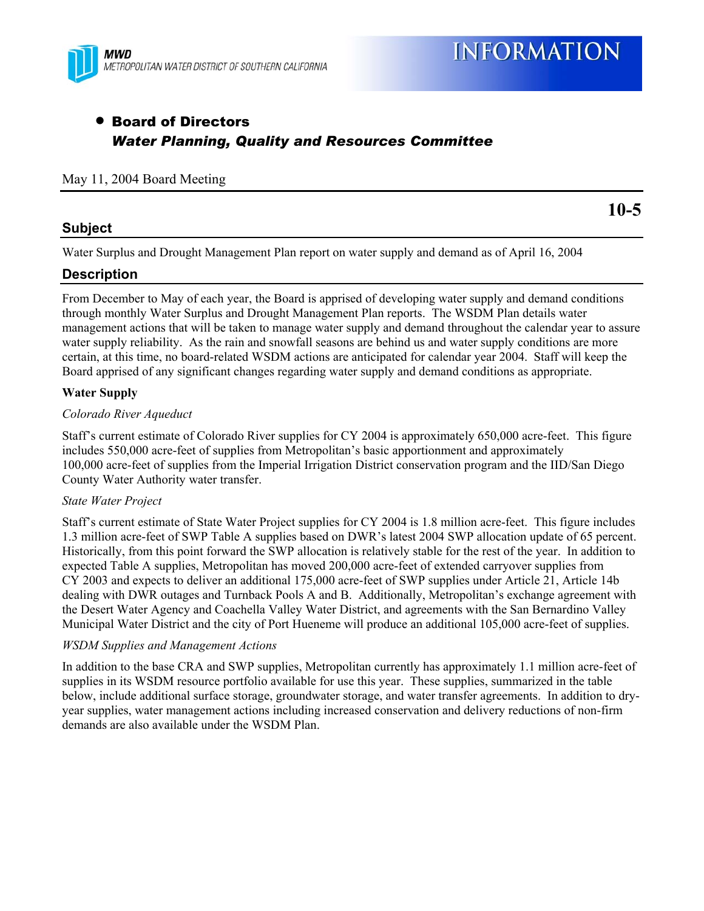

# • Board of Directors *Water Planning, Quality and Resources Committee*

### May 11, 2004 Board Meeting

# **Subject**

**10-5** 

Water Surplus and Drought Management Plan report on water supply and demand as of April 16, 2004

# **Description**

From December to May of each year, the Board is apprised of developing water supply and demand conditions through monthly Water Surplus and Drought Management Plan reports. The WSDM Plan details water management actions that will be taken to manage water supply and demand throughout the calendar year to assure water supply reliability. As the rain and snowfall seasons are behind us and water supply conditions are more certain, at this time, no board-related WSDM actions are anticipated for calendar year 2004. Staff will keep the Board apprised of any significant changes regarding water supply and demand conditions as appropriate.

## **Water Supply**

#### *Colorado River Aqueduct*

Staff's current estimate of Colorado River supplies for CY 2004 is approximately 650,000 acre-feet. This figure includes 550,000 acre-feet of supplies from Metropolitan's basic apportionment and approximately 100,000 acre-feet of supplies from the Imperial Irrigation District conservation program and the IID/San Diego County Water Authority water transfer.

#### *State Water Project*

Staff's current estimate of State Water Project supplies for CY 2004 is 1.8 million acre-feet. This figure includes 1.3 million acre-feet of SWP Table A supplies based on DWR's latest 2004 SWP allocation update of 65 percent. Historically, from this point forward the SWP allocation is relatively stable for the rest of the year. In addition to expected Table A supplies, Metropolitan has moved 200,000 acre-feet of extended carryover supplies from CY 2003 and expects to deliver an additional 175,000 acre-feet of SWP supplies under Article 21, Article 14b dealing with DWR outages and Turnback Pools A and B. Additionally, Metropolitan's exchange agreement with the Desert Water Agency and Coachella Valley Water District, and agreements with the San Bernardino Valley Municipal Water District and the city of Port Hueneme will produce an additional 105,000 acre-feet of supplies.

#### *WSDM Supplies and Management Actions*

In addition to the base CRA and SWP supplies, Metropolitan currently has approximately 1.1 million acre-feet of supplies in its WSDM resource portfolio available for use this year. These supplies, summarized in the table below, include additional surface storage, groundwater storage, and water transfer agreements. In addition to dryyear supplies, water management actions including increased conservation and delivery reductions of non-firm demands are also available under the WSDM Plan.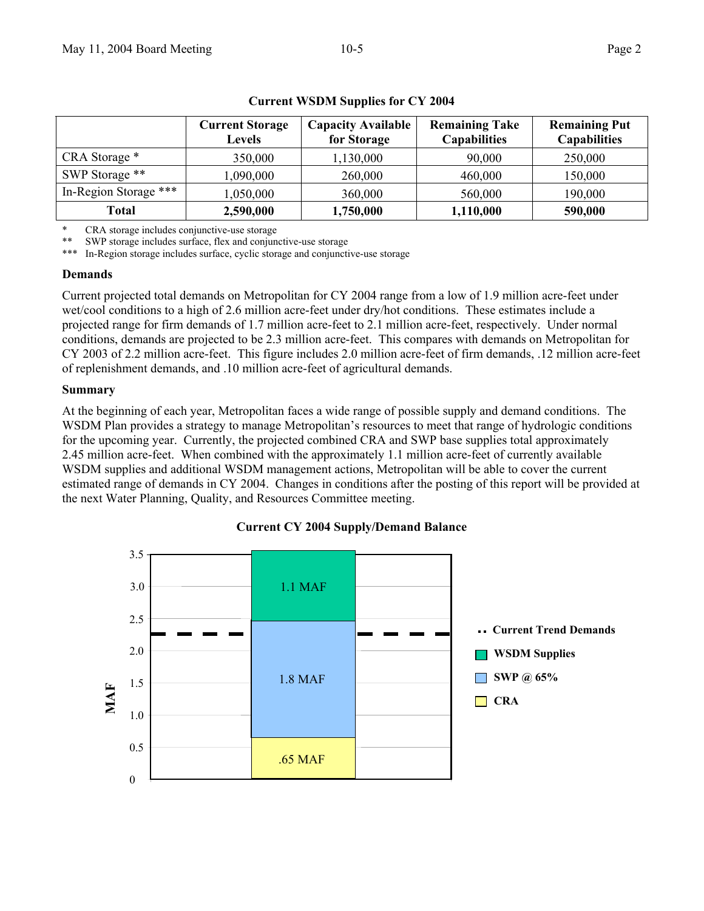|                       | <b>Current Storage</b><br>Levels | <b>Capacity Available</b><br>for Storage | <b>Remaining Take</b><br><b>Capabilities</b> | <b>Remaining Put</b><br><b>Capabilities</b> |
|-----------------------|----------------------------------|------------------------------------------|----------------------------------------------|---------------------------------------------|
| CRA Storage *         | 350,000                          | 1,130,000                                | 90,000                                       | 250,000                                     |
| SWP Storage **        | ,090,000                         | 260,000                                  | 460,000                                      | 150,000                                     |
| In-Region Storage *** | 0.050,000                        | 360,000                                  | 560,000                                      | 190,000                                     |
| Total                 | 2,590,000                        | 1,750,000                                | 1,110,000                                    | 590,000                                     |

### **Current WSDM Supplies for CY 2004**

CRA storage includes conjunctive-use storage

SWP storage includes surface, flex and conjunctive-use storage

\*\*\* In-Region storage includes surface, cyclic storage and conjunctive-use storage

#### **Demands**

Current projected total demands on Metropolitan for CY 2004 range from a low of 1.9 million acre-feet under wet/cool conditions to a high of 2.6 million acre-feet under dry/hot conditions. These estimates include a projected range for firm demands of 1.7 million acre-feet to 2.1 million acre-feet, respectively. Under normal conditions, demands are projected to be 2.3 million acre-feet. This compares with demands on Metropolitan for CY 2003 of 2.2 million acre-feet. This figure includes 2.0 million acre-feet of firm demands, .12 million acre-feet of replenishment demands, and .10 million acre-feet of agricultural demands.

#### **Summary**

At the beginning of each year, Metropolitan faces a wide range of possible supply and demand conditions. The WSDM Plan provides a strategy to manage Metropolitan's resources to meet that range of hydrologic conditions for the upcoming year. Currently, the projected combined CRA and SWP base supplies total approximately 2.45 million acre-feet. When combined with the approximately 1.1 million acre-feet of currently available WSDM supplies and additional WSDM management actions, Metropolitan will be able to cover the current estimated range of demands in CY 2004. Changes in conditions after the posting of this report will be provided at the next Water Planning, Quality, and Resources Committee meeting.

## 0 0.5 1.0 1.5 2.0 2.5 **MAF Current Trend Demands WSDM Supplies CRA SWP @ 65%**  3.5 3.0 .65 MAF 1.8 MAF 1.1 MAF

#### **Current CY 2004 Supply/Demand Balance**